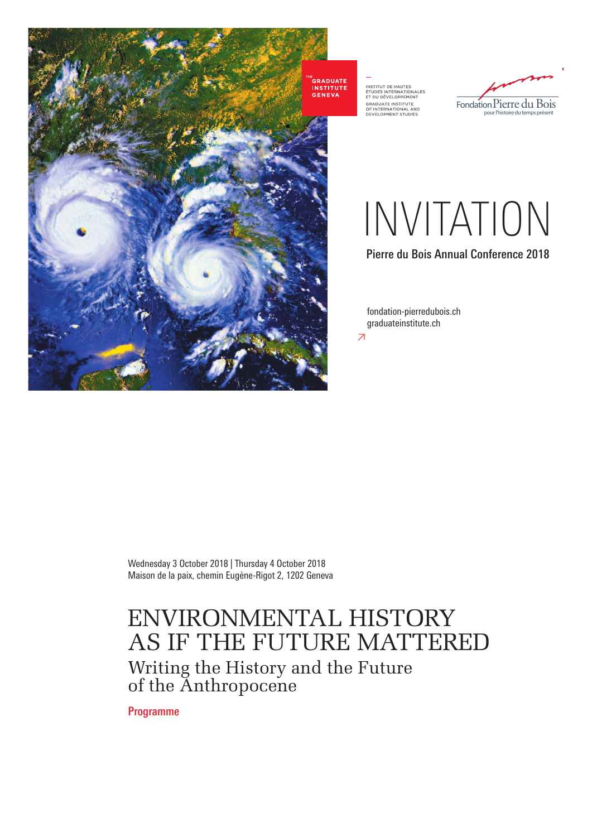

INSTITUT DE HAUTES<br>ÉTUDES INTERNATIONALES<br>ET DU DÉVELOPPEMENT<br>GRADUATE INSTITUTE<br>OF INTERNATIONAL AND<br>DEVELOPMENT STUDIES



## INVITATION

Pierre du Bois Annual Conference 2018

≥ fondation-pierredubois.ch graduateinstitute.ch

Wednesday 3 October 2018 | Thursday 4 October 2018 Maison de la paix, chemin Eugène-Rigot 2, 1202 Geneva

## ENVIRONMENTAL HISTORY AS IF THE FUTURE MATTERED Writing the History and the Future of the Anthropocene

Programme